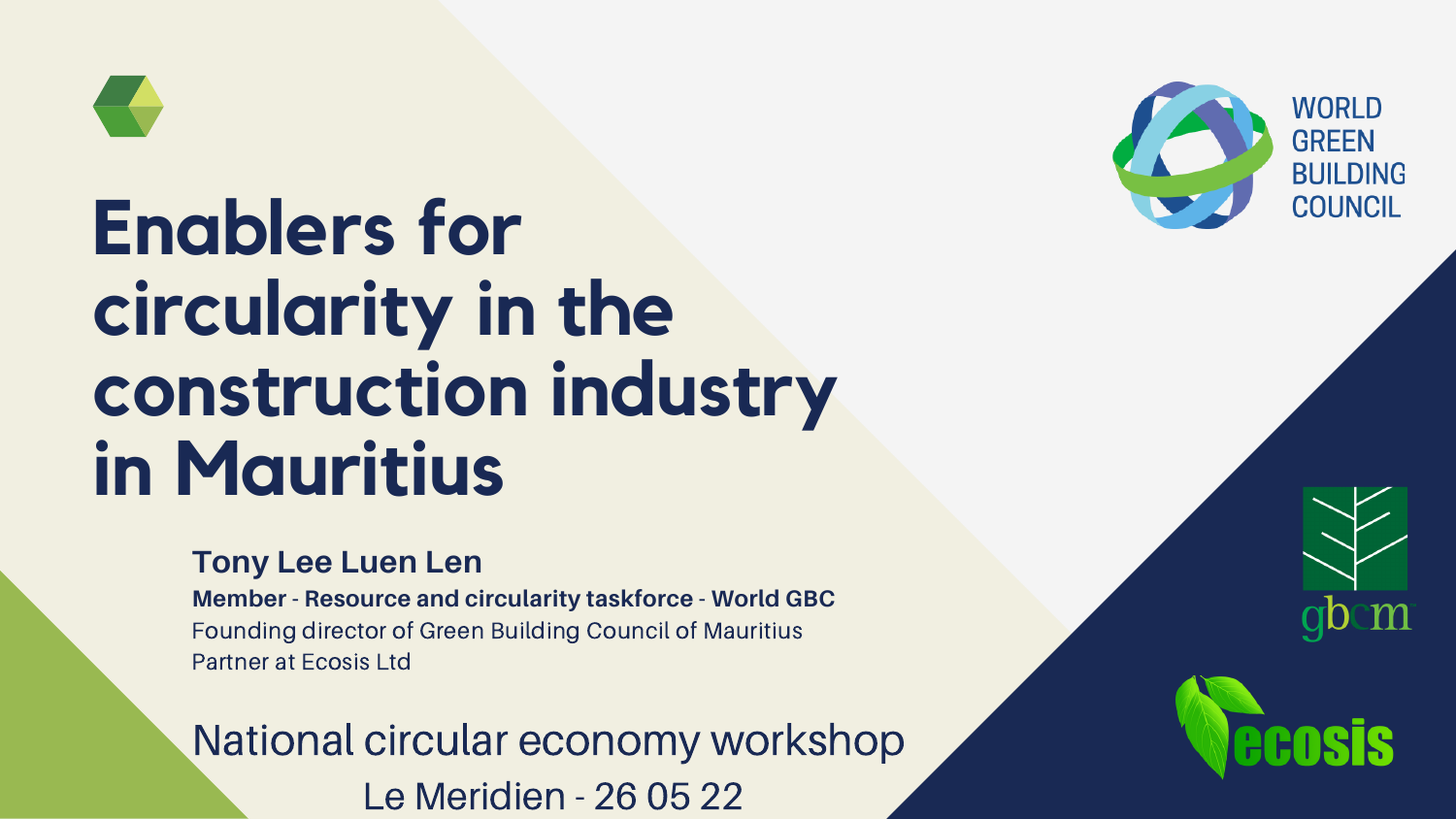#### **Tony Lee Luen Len**

**Member - Resource and circularity taskforce - World GBC** Founding director of Green Building Council of Mauritius Partner at Ecosis Ltd



# **Enablers for circularity in the construction industry in Mauritius**

National circular economy workshop Le Meridien - 26 05 22



#### **WORLD GREEN BUILDING COUNCIL**



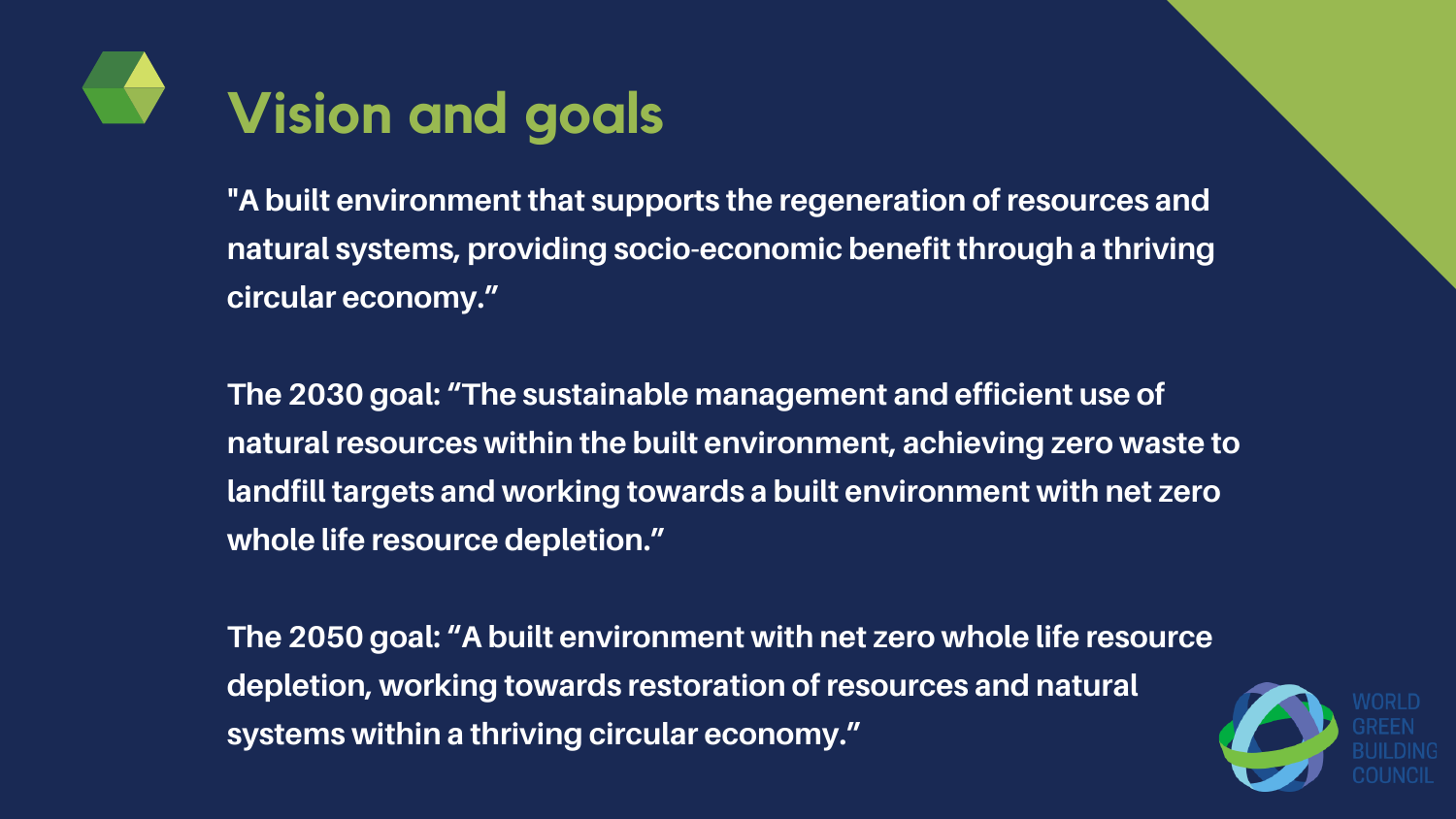**"A built environment that supports the regeneration of resources and natural systems, providing socio-economic benefit through a thriving circular economy. "**

**The 2030 goal: "The sustainable management and efficient use of natural resources within the built environment, achieving zero waste to landfill targets and working towards a built environment with net zero whole life resource depletion. "**

**The 2050 goal: "A built environment with net zero whole life resource depletion, working towards restoration of resources and natural systems within a thriving circular economy. "**



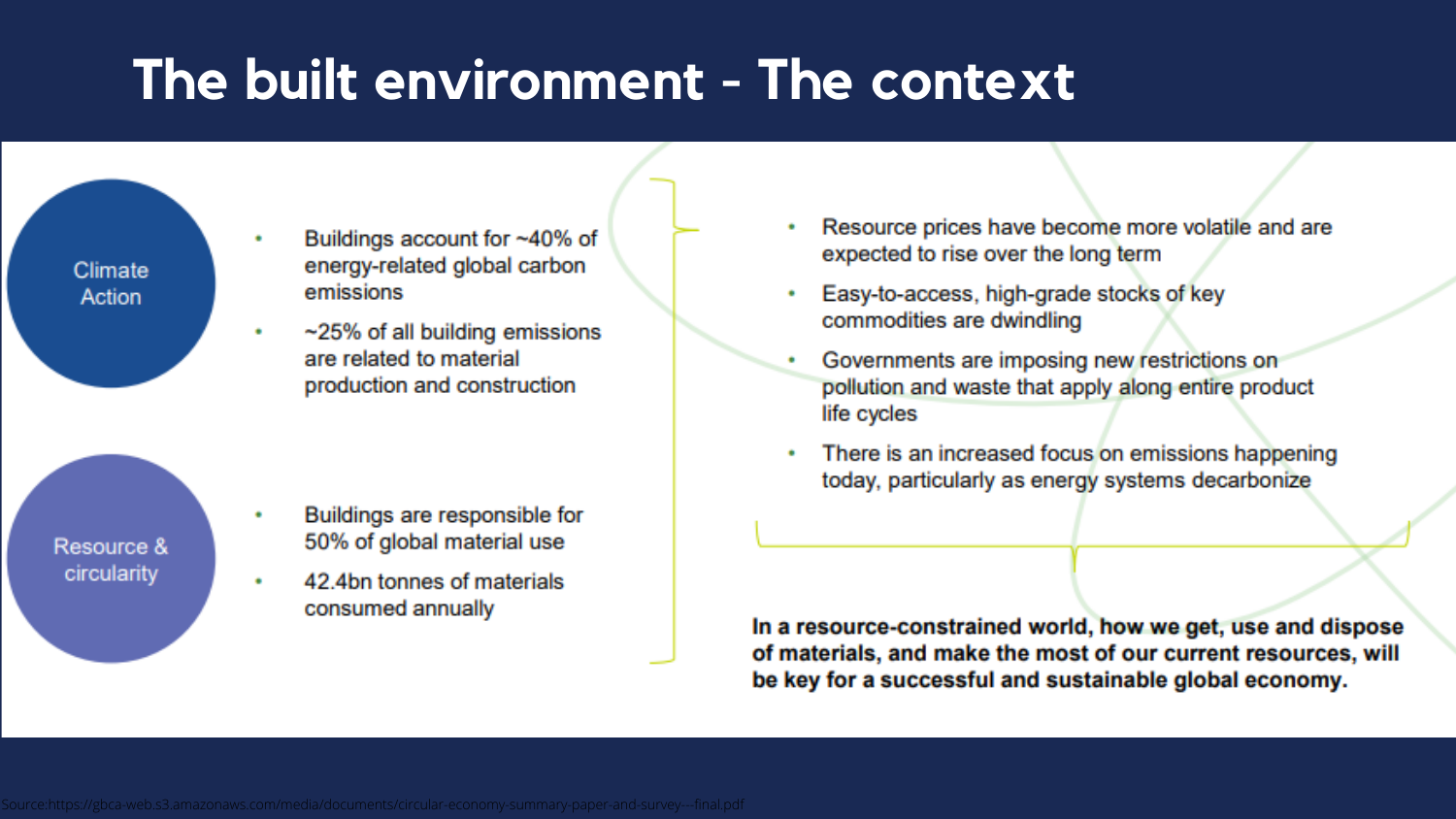### The built environment - The context



- Buildings account for ~40% of energy-related global carbon emissions
- ~25% of all building emissions are related to material production and construction



- Buildings are responsible for 50% of global material use
- 42.4bn tonnes of materials consumed annually
- Resource prices have become more volatile and are expected to rise over the long term
- Easy-to-access, high-grade stocks of key commodities are dwindling
- Governments are imposing new restrictions on pollution and waste that apply along entire product life cycles
- There is an increased focus on emissions happening today, particularly as energy systems decarbonize

In a resource-constrained world, how we get, use and dispose of materials, and make the most of our current resources, will be key for a successful and sustainable global economy.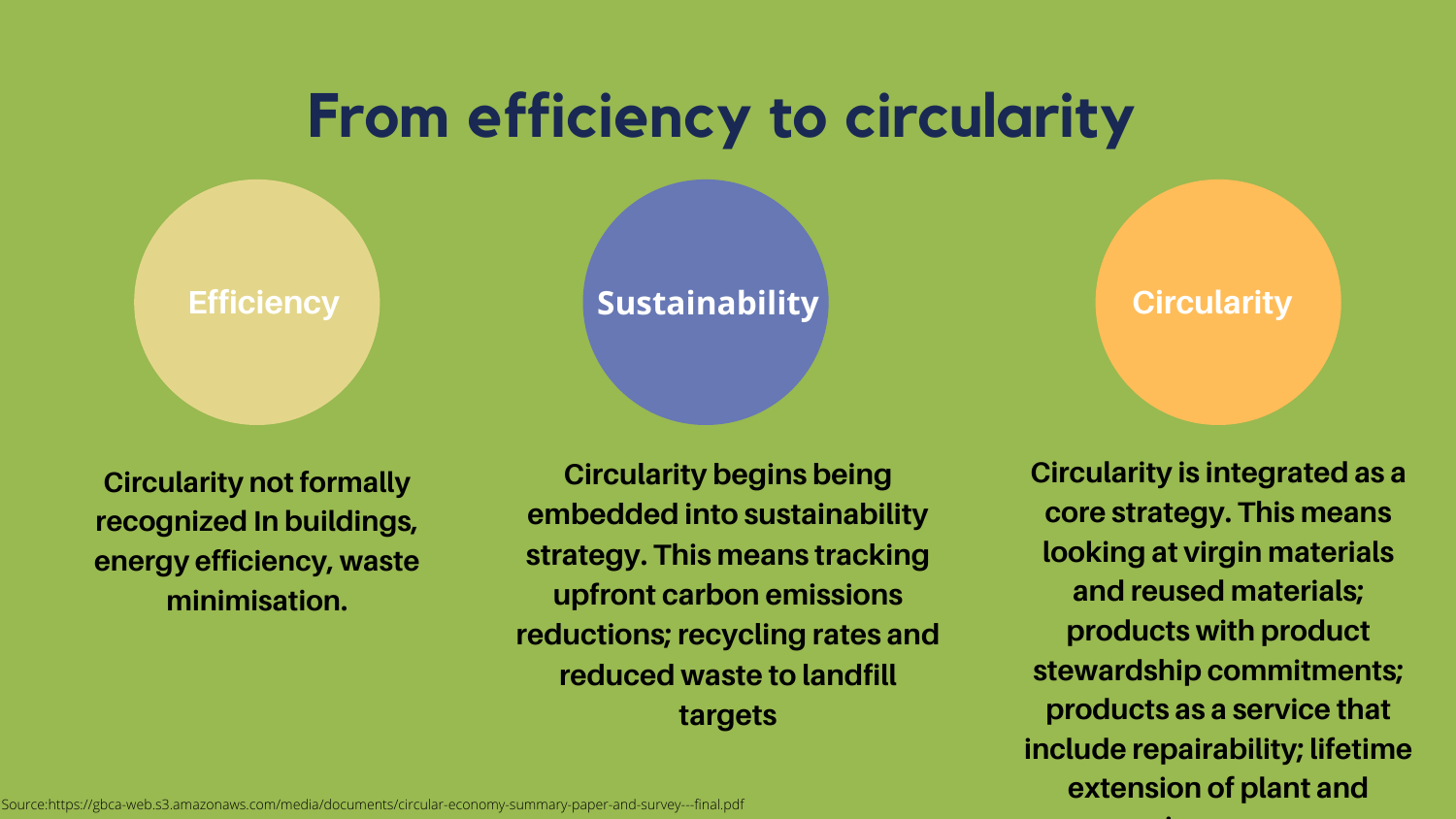## **From efficiency to circularity**

**Circularity not formally recognized In buildings, energy efficiency, waste minimisation.**

**Efficiency Example 3 Sustainability Circularity** 

**Circularity begins being embedded into sustainability strategy. This means tracking upfront carbon emissions reductions; recycling rates and reduced waste to landfill targets**

**Circularity is integrated as a core strategy. This means looking at virgin materials and reused materials; products with product stewardship commitments; products as a service that include repairability; lifetime extension of plant and**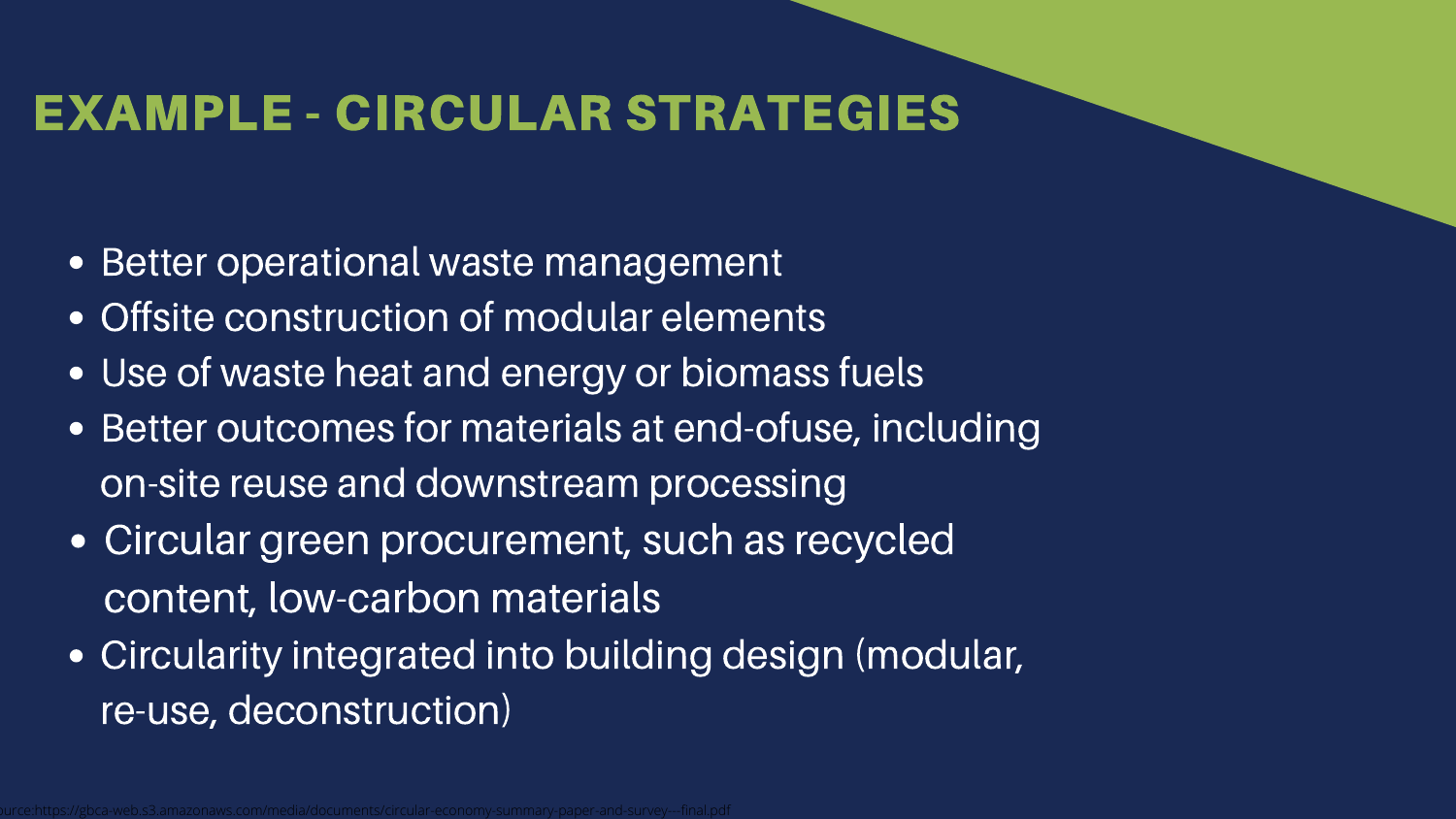#### EXAMPLE - CIRCULAR STRATEGIES

- Better operational waste management
- Offsite construction of modular elements
- Use of waste heat and energy or biomass fuels
- Better outcomes for materials at end-ofuse, including on-site reuse and downstream processing
- Circular green procurement, such as recycled content, low-carbon materials
- Circularity integrated into building design (modular, re-use, deconstruction)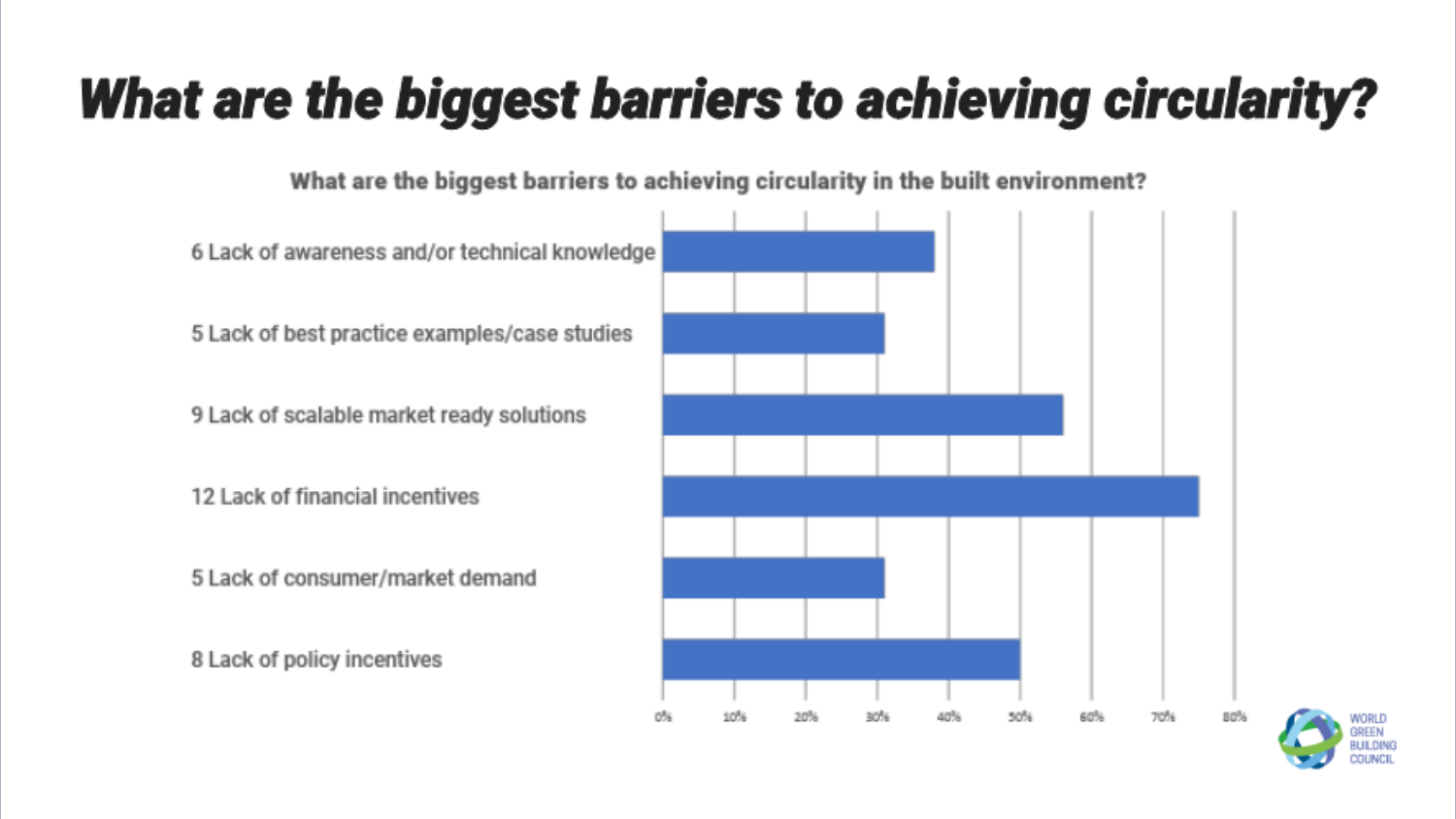## What are the biggest barriers to achieving circularity?

What are the biggest barriers to achieving circularity in the built environment?

6 Lack of awareness and/or technical knowledge

5 Lack of best practice examples/case studies

9 Lack of scalable market ready solutions

12 Lack of financial incentives

5 Lack of consumer/market demand

8 Lack of policy incentives



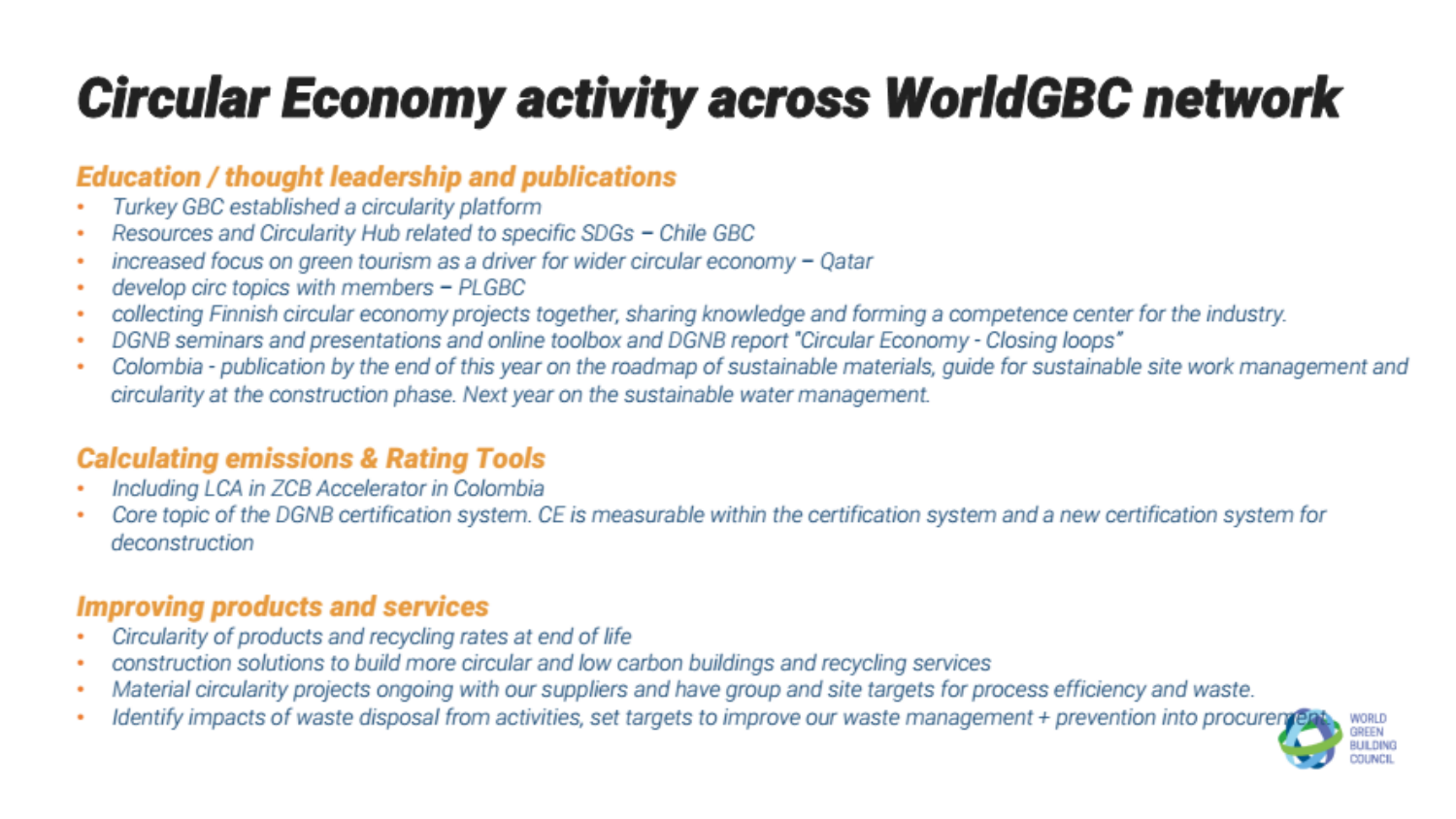## Circular Economy activity across WorldGBC network

#### **Education / thought leadership and publications**

- Turkey GBC established a circularity platform
- Resources and Circularity Hub related to specific SDGs Chile GBC
- increased focus on green tourism as a driver for wider circular economy Qatar ٠
- develop circ topics with members PLGBC
- collecting Finnish circular economy projects together, sharing knowledge and forming a competence center for the industry.
- DGNB seminars and presentations and online toolbox and DGNB report "Circular Economy Closing loops"
- Colombia publication by the end of this year on the roadmap of sustainable materials, guide for sustainable site work management and ٠ circularity at the construction phase. Next year on the sustainable water management.

#### **Calculating emissions & Rating Tools**

- Including LCA in ZCB Accelerator in Colombia
- Core topic of the DGNB certification system. CE is measurable within the certification system and a new certification system for deconstruction

#### **Improving products and services**

- Circularity of products and recycling rates at end of life
- construction solutions to build more circular and low carbon buildings and recycling services
- Material circularity projects ongoing with our suppliers and have group and site targets for process efficiency and waste.
- Identify impacts of waste disposal from activities, set targets to improve our waste management + prevention into procuren

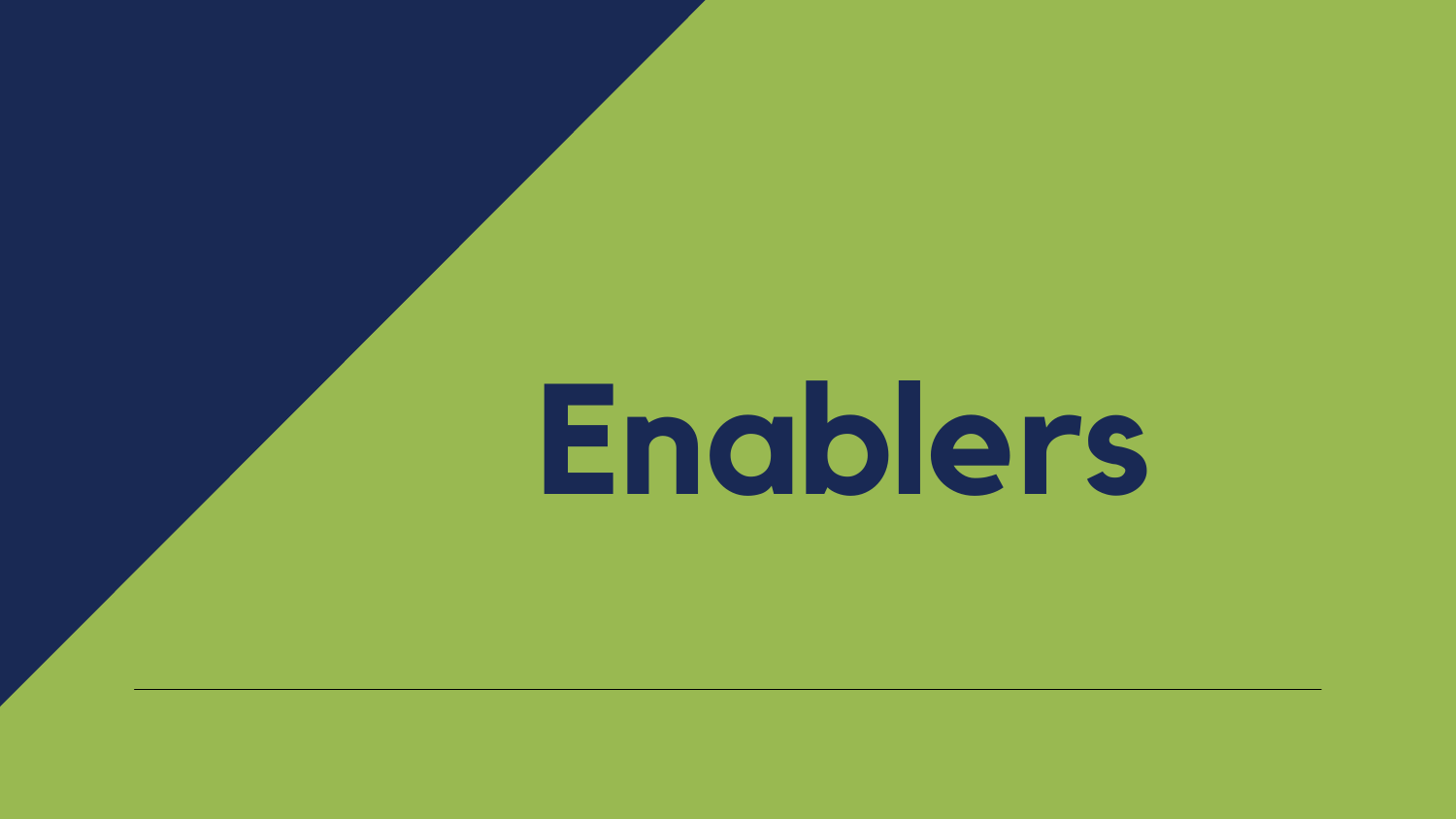

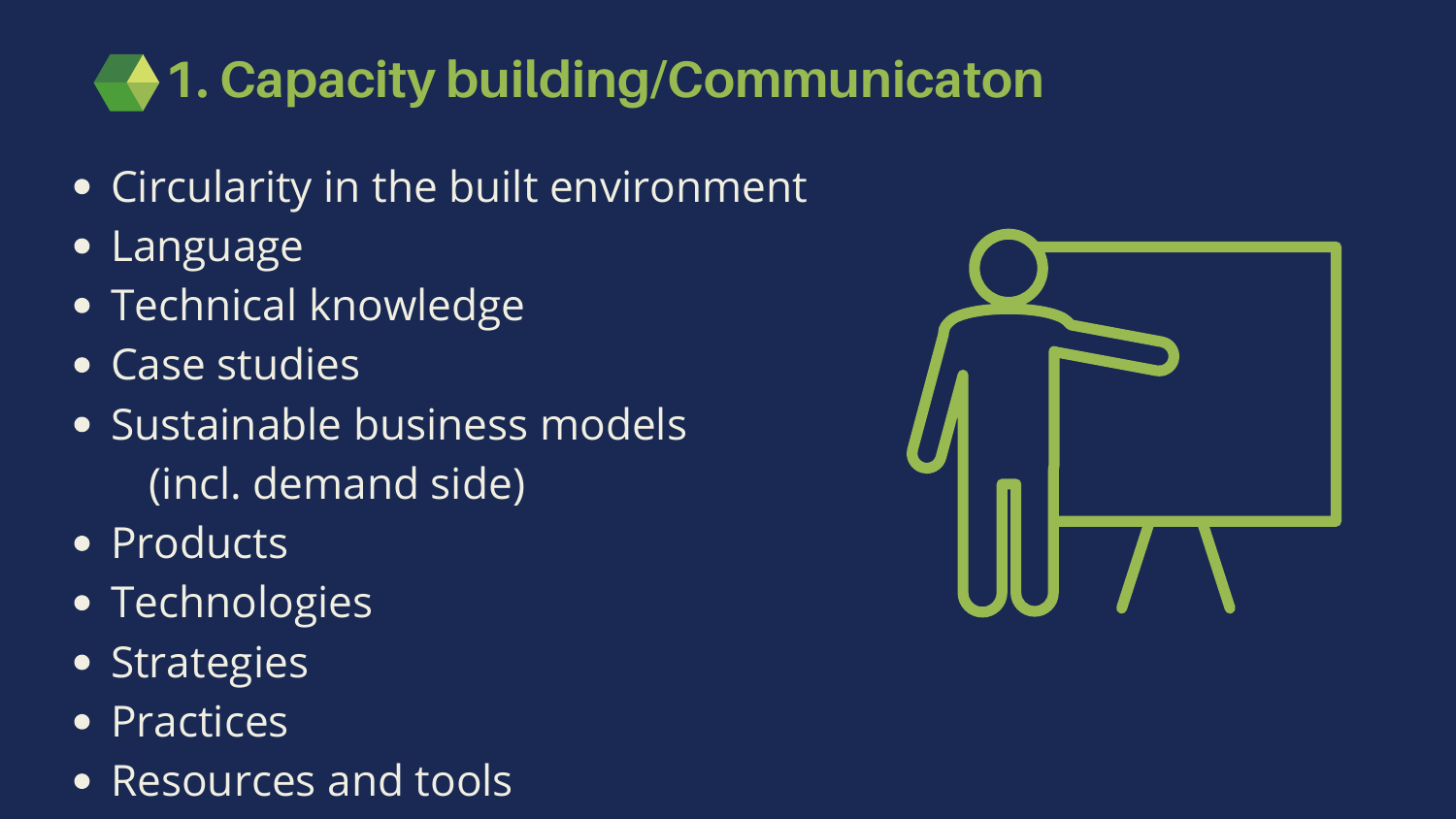## **1. Capacity building/Communicaton**

- Circularity in the built environment
- Language  $\bullet$
- Technical knowledge
- Case studies
- Sustainable business models (incl. demand side)
- Products
- Technologies
- **Strategies**
- **Practices**  $\bullet$
- Resources and tools  $\bullet$



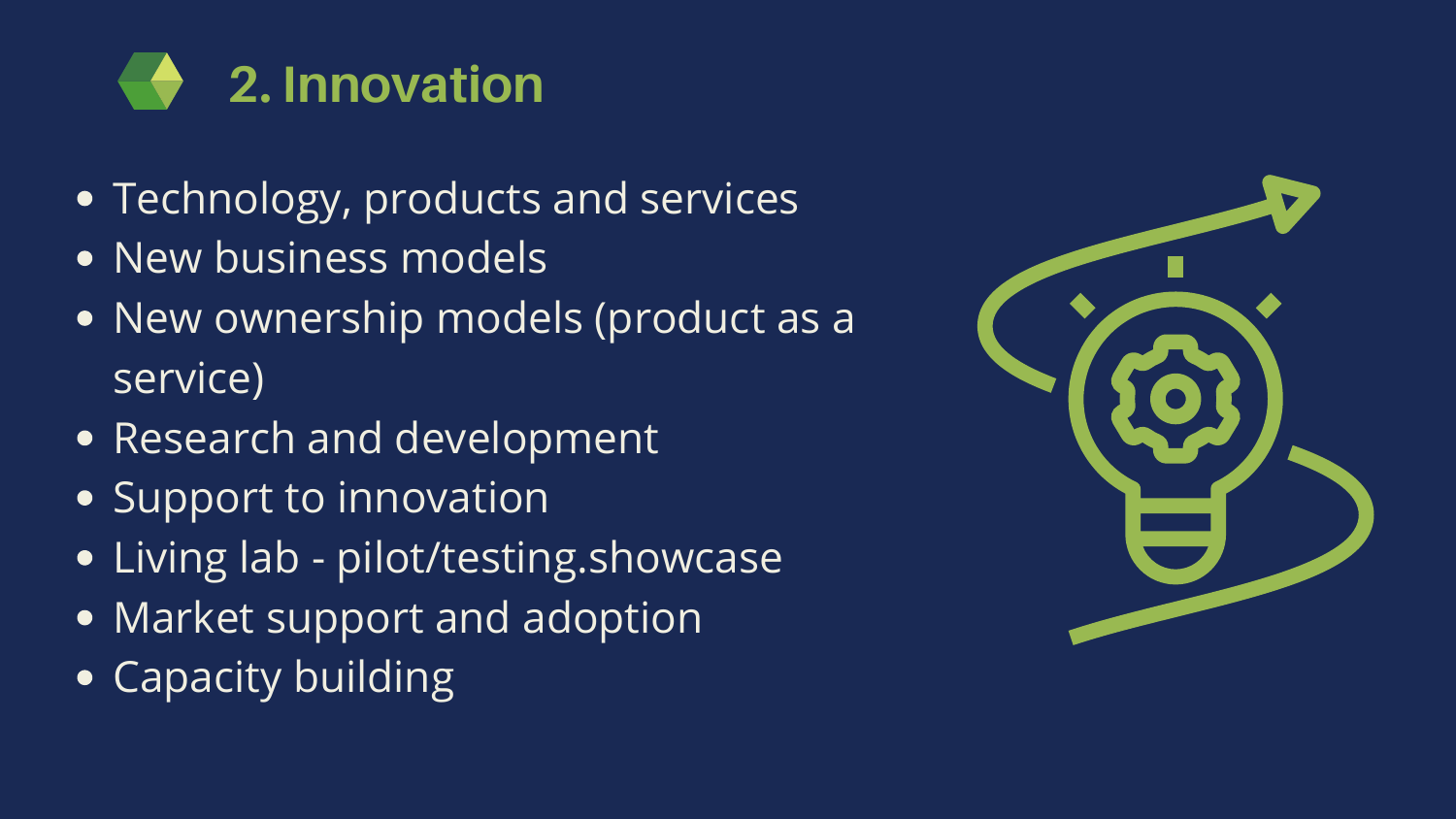

- Technology, products and services
- New business models
- New ownership models (product as a service)
- Research and development
- Support to innovation
- Living lab pilot/testing.showcase
- Market support and adoption
- Capacity building

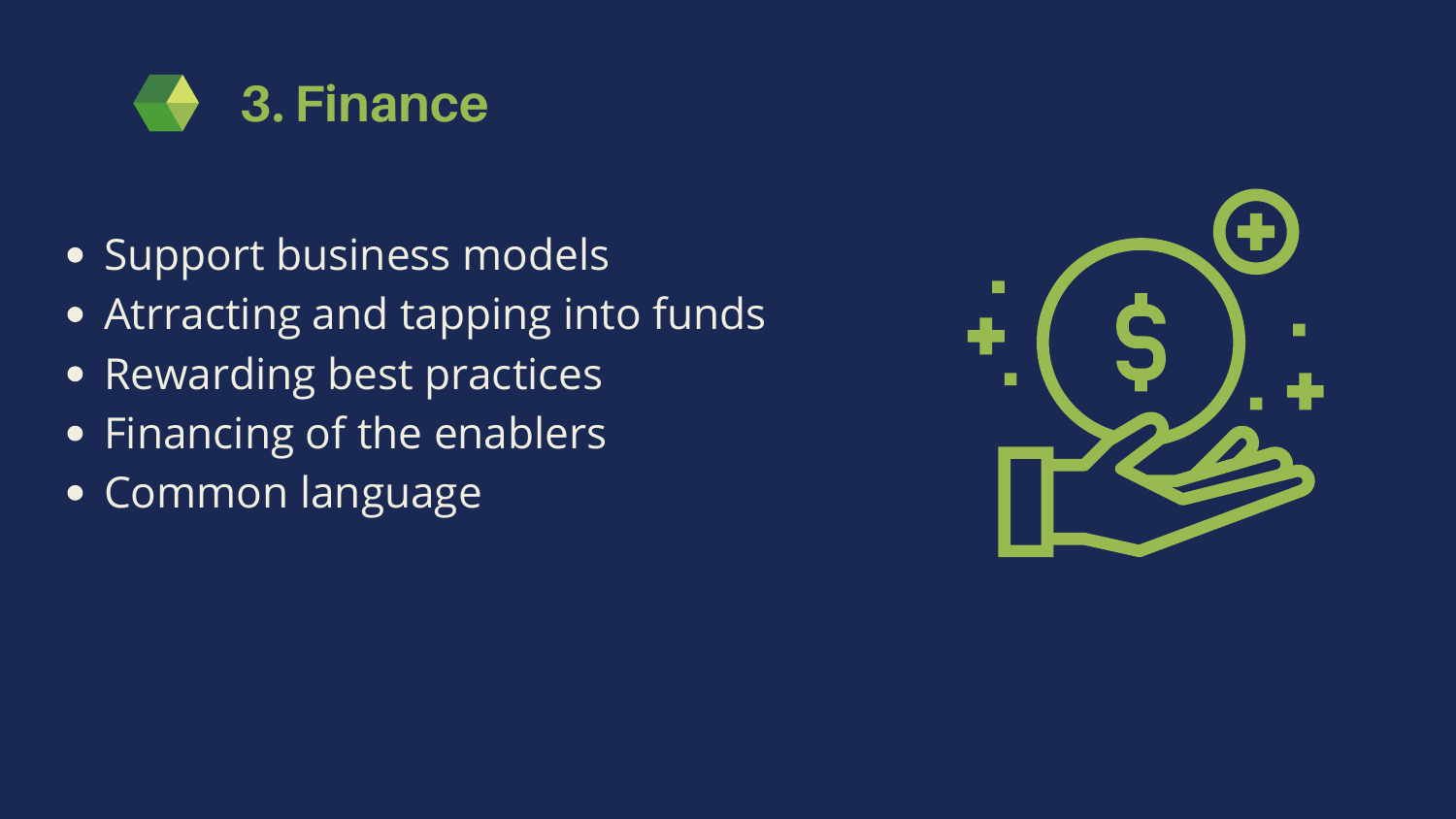## **3. Finance**

- Support business models
- Atrracting and tapping into funds
- Rewarding best practices
- Financing of the enablers  $\bullet$
- Common language

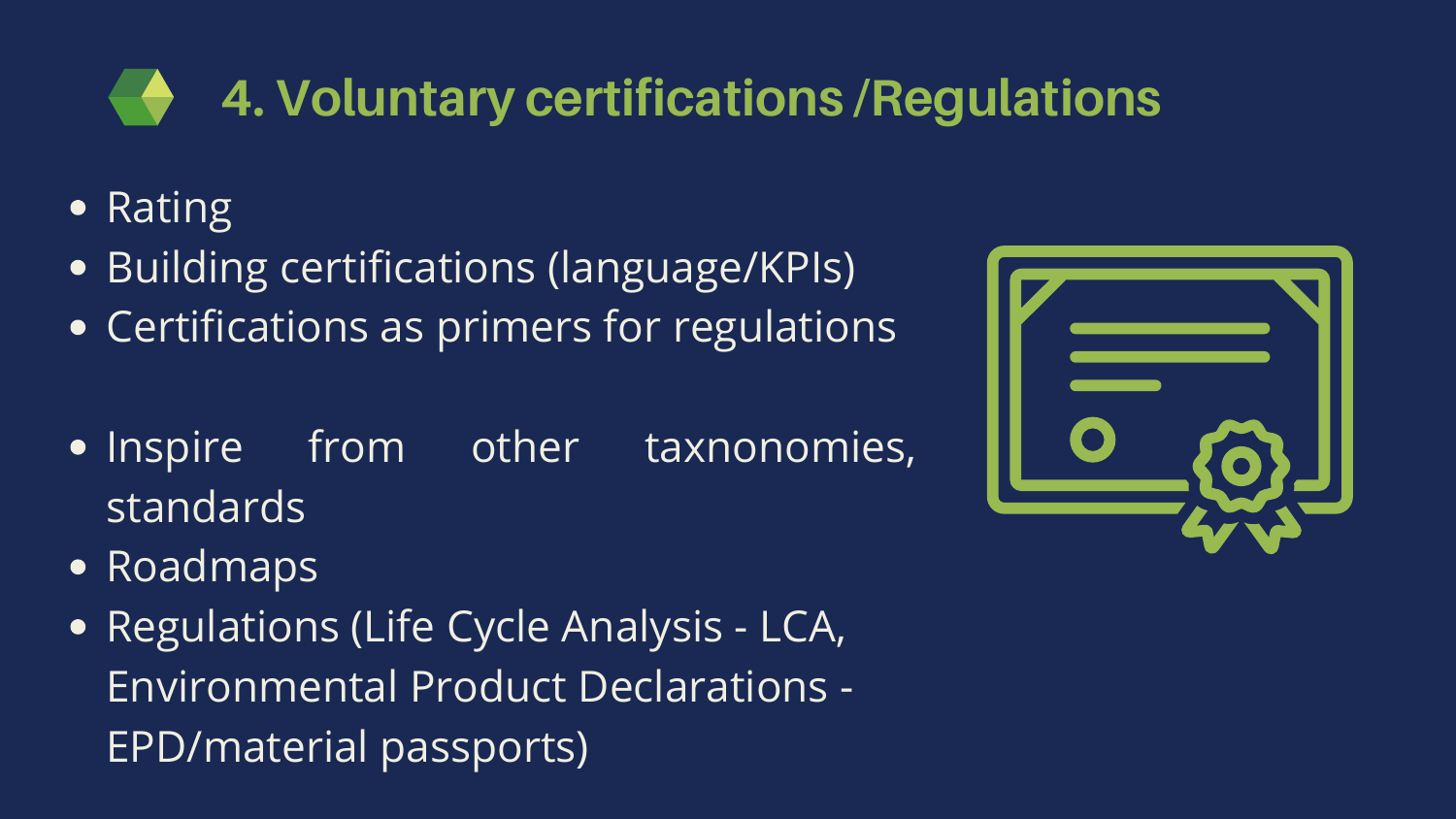### **4. Voluntary certifications /Regulations**

- Rating  $\bullet$
- Building certifications (language/KPIs)  $\bullet$
- Certifications as primers for regulations
- Inspire from other taxnonomies, standards
- Roadmaps
- **Regulations (Life Cycle Analysis LCA,** Environmental Product Declarations - EPD/material passports)



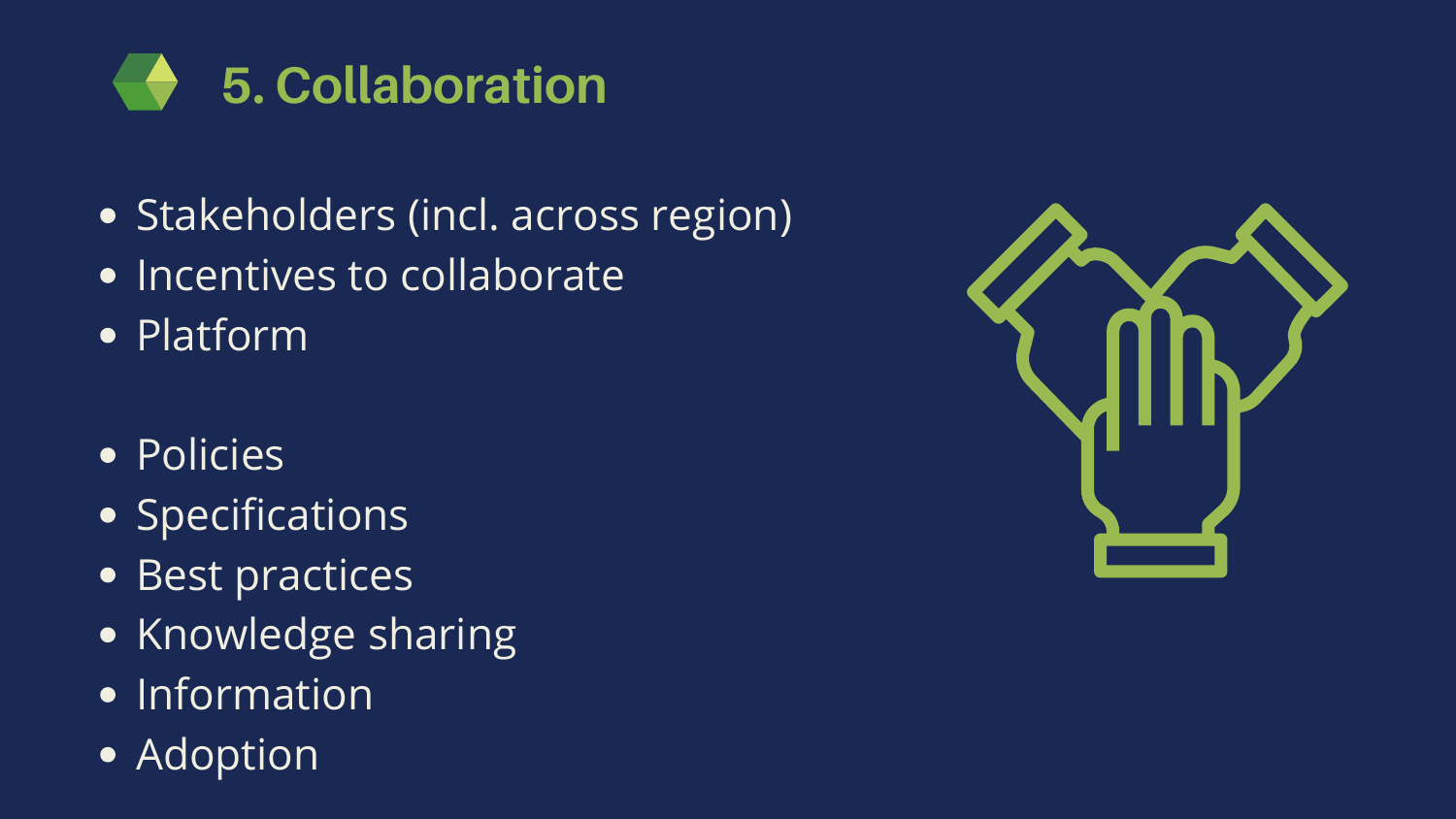

- Stakeholders (incl. across region)
- Incentives to collaborate
- Platform
- **Policies**
- **Specifications**
- Best practices
- Knowledge sharing
- Information
- Adoption